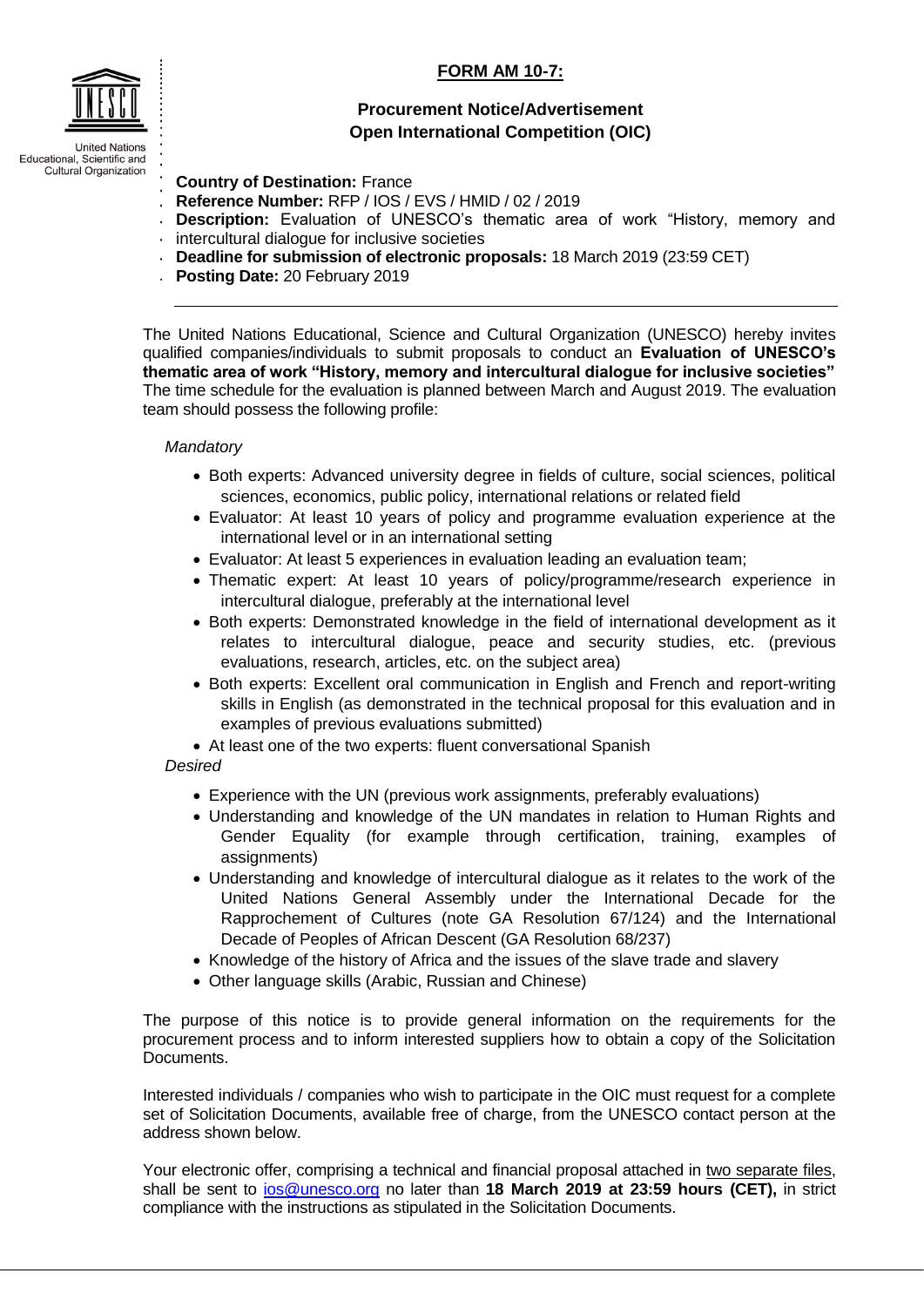## **FORM AM 10-7:**



**Country of Destination:** France

- **Reference Number:** RFP / IOS / EVS / HMID / 02 / 2019
- **Description:** Evaluation of UNESCO's thematic area of work "History, memory and
- $\cdot$  intercultural dialogue for inclusive societies
- **Deadline for submission of electronic proposals:** 18 March 2019 (23:59 CET)
- **Posting Date:** 20 February 2019

The United Nations Educational, Science and Cultural Organization (UNESCO) hereby invites qualified companies/individuals to submit proposals to conduct an **Evaluation of UNESCO's thematic area of work "History, memory and intercultural dialogue for inclusive societies"** The time schedule for the evaluation is planned between March and August 2019. The evaluation team should possess the following profile:

## *Mandatory*

- Both experts: Advanced university degree in fields of culture, social sciences, political sciences, economics, public policy, international relations or related field
- Evaluator: At least 10 years of policy and programme evaluation experience at the international level or in an international setting
- Evaluator: At least 5 experiences in evaluation leading an evaluation team;
- Thematic expert: At least 10 years of policy/programme/research experience in intercultural dialogue, preferably at the international level
- Both experts: Demonstrated knowledge in the field of international development as it relates to intercultural dialogue, peace and security studies, etc. (previous evaluations, research, articles, etc. on the subject area)
- Both experts: Excellent oral communication in English and French and report-writing skills in English (as demonstrated in the technical proposal for this evaluation and in examples of previous evaluations submitted)
- At least one of the two experts: fluent conversational Spanish
- *Desired*
	- Experience with the UN (previous work assignments, preferably evaluations)
	- Understanding and knowledge of the UN mandates in relation to Human Rights and Gender Equality (for example through certification, training, examples of assignments)
	- Understanding and knowledge of intercultural dialogue as it relates to the work of the United Nations General Assembly under the International Decade for the Rapprochement of Cultures (note GA Resolution 67/124) and the International Decade of Peoples of African Descent (GA Resolution 68/237)
	- Knowledge of the history of Africa and the issues of the slave trade and slavery
	- Other language skills (Arabic, Russian and Chinese)

The purpose of this notice is to provide general information on the requirements for the procurement process and to inform interested suppliers how to obtain a copy of the Solicitation Documents.

Interested individuals / companies who wish to participate in the OIC must request for a complete set of Solicitation Documents, available free of charge, from the UNESCO contact person at the address shown below.

Your electronic offer, comprising a technical and financial proposal attached in two separate files, shall be sent to [ios@unesco.org](mailto:ios@unesco.org) no later than **18 March 2019 at 23:59 hours (CET),** in strict compliance with the instructions as stipulated in the Solicitation Documents.